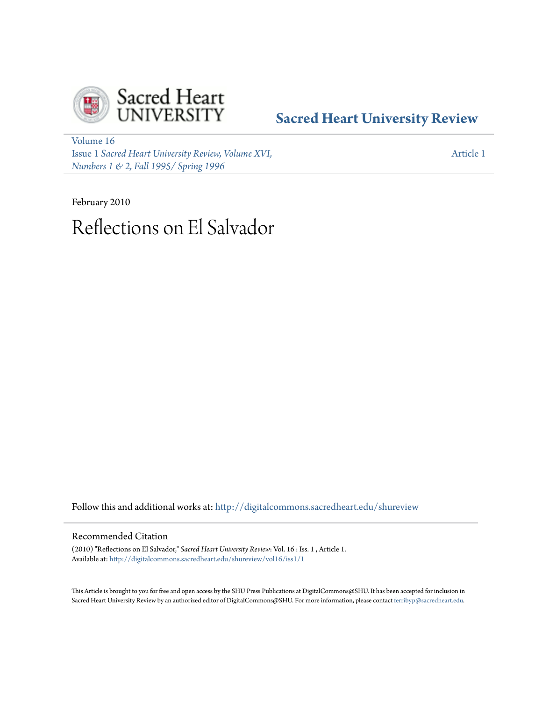

# **[Sacred Heart University Review](http://digitalcommons.sacredheart.edu/shureview?utm_source=digitalcommons.sacredheart.edu%2Fshureview%2Fvol16%2Fiss1%2F1&utm_medium=PDF&utm_campaign=PDFCoverPages)**

[Volume 16](http://digitalcommons.sacredheart.edu/shureview/vol16?utm_source=digitalcommons.sacredheart.edu%2Fshureview%2Fvol16%2Fiss1%2F1&utm_medium=PDF&utm_campaign=PDFCoverPages) Issue 1 *[Sacred Heart University Review, Volume XVI,](http://digitalcommons.sacredheart.edu/shureview/vol16/iss1?utm_source=digitalcommons.sacredheart.edu%2Fshureview%2Fvol16%2Fiss1%2F1&utm_medium=PDF&utm_campaign=PDFCoverPages) [Numbers 1 & 2, Fall 1995/ Spring 1996](http://digitalcommons.sacredheart.edu/shureview/vol16/iss1?utm_source=digitalcommons.sacredheart.edu%2Fshureview%2Fvol16%2Fiss1%2F1&utm_medium=PDF&utm_campaign=PDFCoverPages)*

[Article 1](http://digitalcommons.sacredheart.edu/shureview/vol16/iss1/1?utm_source=digitalcommons.sacredheart.edu%2Fshureview%2Fvol16%2Fiss1%2F1&utm_medium=PDF&utm_campaign=PDFCoverPages)

February 2010 Reflections on El Salvador

Follow this and additional works at: [http://digitalcommons.sacredheart.edu/shureview](http://digitalcommons.sacredheart.edu/shureview?utm_source=digitalcommons.sacredheart.edu%2Fshureview%2Fvol16%2Fiss1%2F1&utm_medium=PDF&utm_campaign=PDFCoverPages)

# Recommended Citation

(2010) "Reflections on El Salvador," *Sacred Heart University Review*: Vol. 16 : Iss. 1 , Article 1. Available at: [http://digitalcommons.sacredheart.edu/shureview/vol16/iss1/1](http://digitalcommons.sacredheart.edu/shureview/vol16/iss1/1?utm_source=digitalcommons.sacredheart.edu%2Fshureview%2Fvol16%2Fiss1%2F1&utm_medium=PDF&utm_campaign=PDFCoverPages)

This Article is brought to you for free and open access by the SHU Press Publications at DigitalCommons@SHU. It has been accepted for inclusion in Sacred Heart University Review by an authorized editor of DigitalCommons@SHU. For more information, please contact [ferribyp@sacredheart.edu](mailto:ferribyp@sacredheart.edu).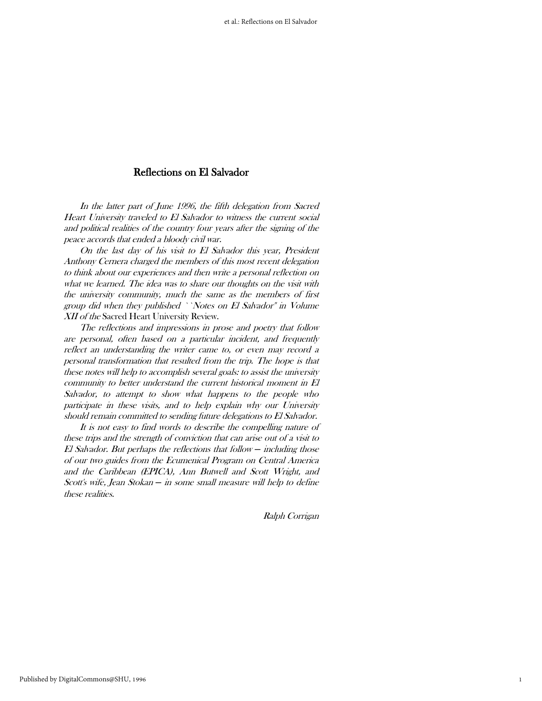# Reflections on El Salvador

 In the latter part of June 1996, the fifth delegation from Sacred Heart University traveled to El Salvador to witness the current social and political realities of the country four years after the signing of the peace accords that ended a bloody civil war.

 On the last day of his visit to El Salvador this year, President Anthony Cernera charged the members of this most recent delegation to think about our experiences and then write a personal reflection on what we learned. The idea was to share our thoughts on the visit with the university community, much the same as the members of first group did when they published ``Notes on El Salvador'' in Volume XII of the Sacred Heart University Review.

 The reflections and impressions in prose and poetry that follow are personal, often based on a particular incident, and frequently reflect an understanding the writer came to, or even may record a personal transformation that resulted from the trip. The hope is that these notes will help to accomplish several goals: to assist the university community to better understand the current historical moment in El Salvador, to attempt to show what happens to the people who participate in these visits, and to help explain why our University should remain committed to sending future delegations to El Salvador.

 It is not easy to find words to describe the compelling nature of these trips and the strength of conviction that can arise out of a visit to El Salvador. But perhaps the reflections that follow *─* including those of our two guides from the Ecumenical Program on Central America and the Caribbean (EPICA), Ann Butwell and Scott Wright, and Scott's wife, Jean Stokan *─* in some small measure will help to define these realities.

Ralph Corrigan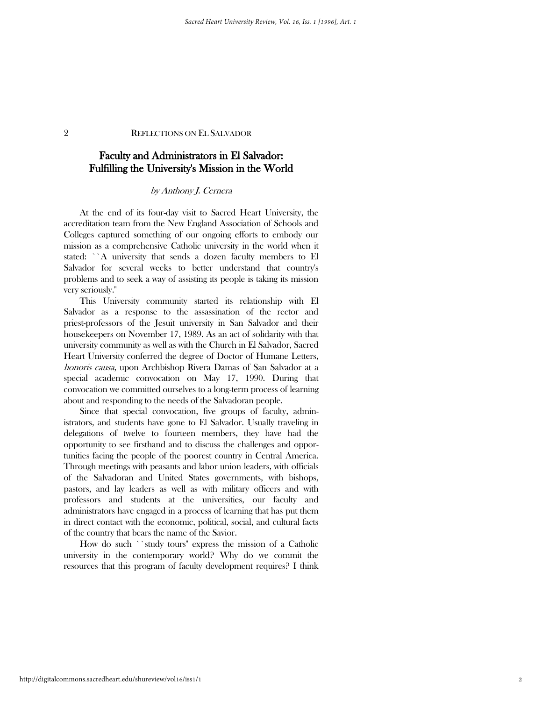# Faculty and Administrators in El Salvador: Fulfilling the University's Mission in the World

#### by Anthony J. Cernera

 At the end of its four-day visit to Sacred Heart University, the accreditation team from the New England Association of Schools and Colleges captured something of our ongoing efforts to embody our mission as a comprehensive Catholic university in the world when it stated: ``A university that sends a dozen faculty members to El Salvador for several weeks to better understand that country's problems and to seek a way of assisting its people is taking its mission very seriously.''

 This University community started its relationship with El Salvador as a response to the assassination of the rector and priest-professors of the Jesuit university in San Salvador and their housekeepers on November 17, 1989. As an act of solidarity with that university community as well as with the Church in El Salvador, Sacred Heart University conferred the degree of Doctor of Humane Letters, honoris causa, upon Archbishop Rivera Damas of San Salvador at a special academic convocation on May 17, 1990. During that convocation we committed ourselves to a long-term process of learning about and responding to the needs of the Salvadoran people.

Since that special convocation, five groups of faculty, administrators, and students have gone to El Salvador. Usually traveling in delegations of twelve to fourteen members, they have had the opportunity to see firsthand and to discuss the challenges and opportunities facing the people of the poorest country in Central America. Through meetings with peasants and labor union leaders, with officials of the Salvadoran and United States governments, with bishops, pastors, and lay leaders as well as with military officers and with professors and students at the universities, our faculty and administrators have engaged in a process of learning that has put them in direct contact with the economic, political, social, and cultural facts of the country that bears the name of the Savior.

 How do such ``study tours'' express the mission of a Catholic university in the contemporary world? Why do we commit the resources that this program of faculty development requires? I think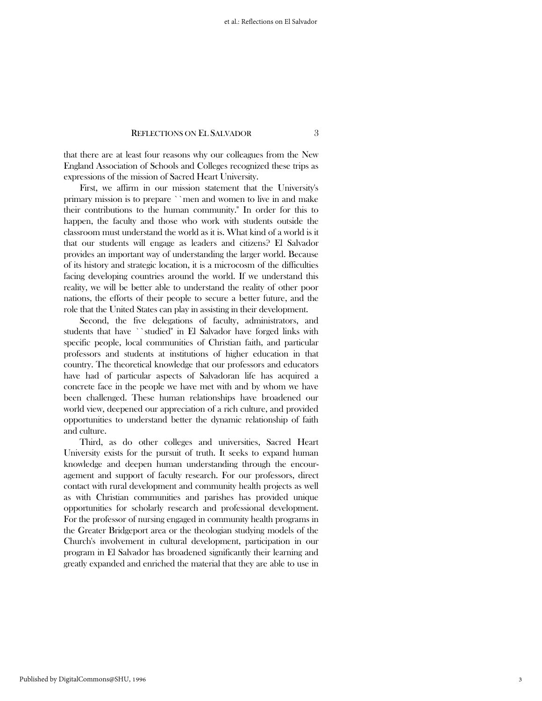that there are at least four reasons why our colleagues from the New England Association of Schools and Colleges recognized these trips as expressions of the mission of Sacred Heart University.

 First, we affirm in our mission statement that the University's primary mission is to prepare ``men and women to live in and make their contributions to the human community.'' In order for this to happen, the faculty and those who work with students outside the classroom must understand the world as it is. What kind of a world is it that our students will engage as leaders and citizens? El Salvador provides an important way of understanding the larger world. Because of its history and strategic location, it is a microcosm of the difficulties facing developing countries around the world. If we understand this reality, we will be better able to understand the reality of other poor nations, the efforts of their people to secure a better future, and the role that the United States can play in assisting in their development.

 Second, the five delegations of faculty, administrators, and students that have ``studied'' in El Salvador have forged links with specific people, local communities of Christian faith, and particular professors and students at institutions of higher education in that country. The theoretical knowledge that our professors and educators have had of particular aspects of Salvadoran life has acquired a concrete face in the people we have met with and by whom we have been challenged. These human relationships have broadened our world view, deepened our appreciation of a rich culture, and provided opportunities to understand better the dynamic relationship of faith and culture.

 Third, as do other colleges and universities, Sacred Heart University exists for the pursuit of truth. It seeks to expand human knowledge and deepen human understanding through the encouragement and support of faculty research. For our professors, direct contact with rural development and community health projects as well as with Christian communities and parishes has provided unique opportunities for scholarly research and professional development. For the professor of nursing engaged in community health programs in the Greater Bridgeport area or the theologian studying models of the Church's involvement in cultural development, participation in our program in El Salvador has broadened significantly their learning and greatly expanded and enriched the material that they are able to use in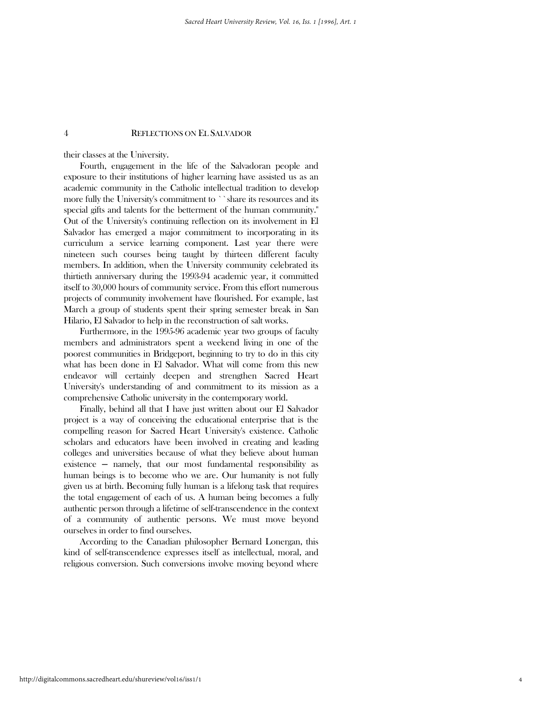their classes at the University.

 Fourth, engagement in the life of the Salvadoran people and exposure to their institutions of higher learning have assisted us as an academic community in the Catholic intellectual tradition to develop more fully the University's commitment to ``share its resources and its special gifts and talents for the betterment of the human community.'' Out of the University's continuing reflection on its involvement in El Salvador has emerged a major commitment to incorporating in its curriculum a service learning component. Last year there were nineteen such courses being taught by thirteen different faculty members. In addition, when the University community celebrated its thirtieth anniversary during the 1993-94 academic year, it committed itself to 30,000 hours of community service. From this effort numerous projects of community involvement have flourished. For example, last March a group of students spent their spring semester break in San Hilario, El Salvador to help in the reconstruction of salt works.

 Furthermore, in the 1995-96 academic year two groups of faculty members and administrators spent a weekend living in one of the poorest communities in Bridgeport, beginning to try to do in this city what has been done in El Salvador. What will come from this new endeavor will certainly deepen and strengthen Sacred Heart University's understanding of and commitment to its mission as a comprehensive Catholic university in the contemporary world.

 Finally, behind all that I have just written about our El Salvador project is a way of conceiving the educational enterprise that is the compelling reason for Sacred Heart University's existence. Catholic scholars and educators have been involved in creating and leading colleges and universities because of what they believe about human  $ext{existence - namely, that our most fundamental responsibility as}$ human beings is to become who we are. Our humanity is not fully given us at birth. Becoming fully human is a lifelong task that requires the total engagement of each of us. A human being becomes a fully authentic person through a lifetime of self-transcendence in the context of a community of authentic persons. We must move beyond ourselves in order to find ourselves.

 According to the Canadian philosopher Bernard Lonergan, this kind of self-transcendence expresses itself as intellectual, moral, and religious conversion. Such conversions involve moving beyond where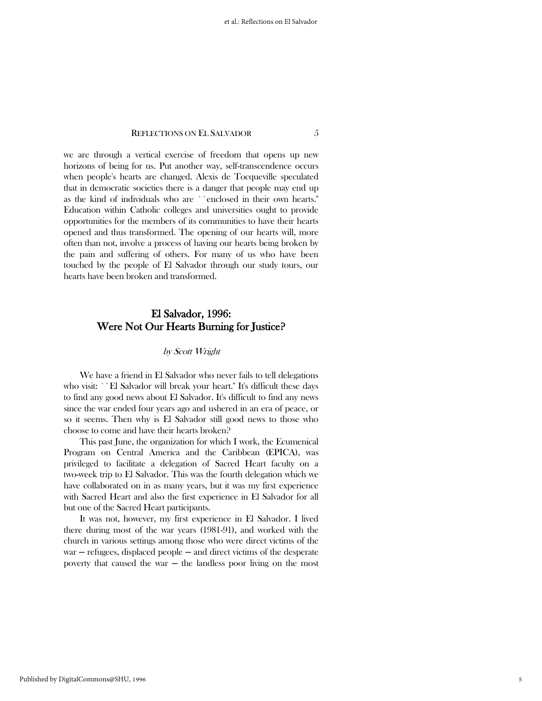we are through a vertical exercise of freedom that opens up new horizons of being for us. Put another way, self-transcendence occurs when people's hearts are changed. Alexis de Tocqueville speculated that in democratic societies there is a danger that people may end up as the kind of individuals who are ``enclosed in their own hearts.'' Education within Catholic colleges and universities ought to provide opportunities for the members of its communities to have their hearts opened and thus transformed. The opening of our hearts will, more often than not, involve a process of having our hearts being broken by the pain and suffering of others. For many of us who have been touched by the people of El Salvador through our study tours, our hearts have been broken and transformed.

# El Salvador, 1996: Were Not Our Hearts Burning for Justice?

#### by Scott Wright

 We have a friend in El Salvador who never fails to tell delegations who visit: ``El Salvador will break your heart." It's difficult these days to find any good news about El Salvador. It's difficult to find any news since the war ended four years ago and ushered in an era of peace, or so it seems. Then why is El Salvador still good news to those who choose to come and have their hearts broken?

 This past June, the organization for which I work, the Ecumenical Program on Central America and the Caribbean (EPICA), was privileged to facilitate a delegation of Sacred Heart faculty on a two-week trip to El Salvador. This was the fourth delegation which we have collaborated on in as many years, but it was my first experience with Sacred Heart and also the first experience in El Salvador for all but one of the Sacred Heart participants.

 It was not, however, my first experience in El Salvador. I lived there during most of the war years (1981-91), and worked with the church in various settings among those who were direct victims of the war — refugees, displaced people — and direct victims of the desperate poverty that caused the war  $-$  the landless poor living on the most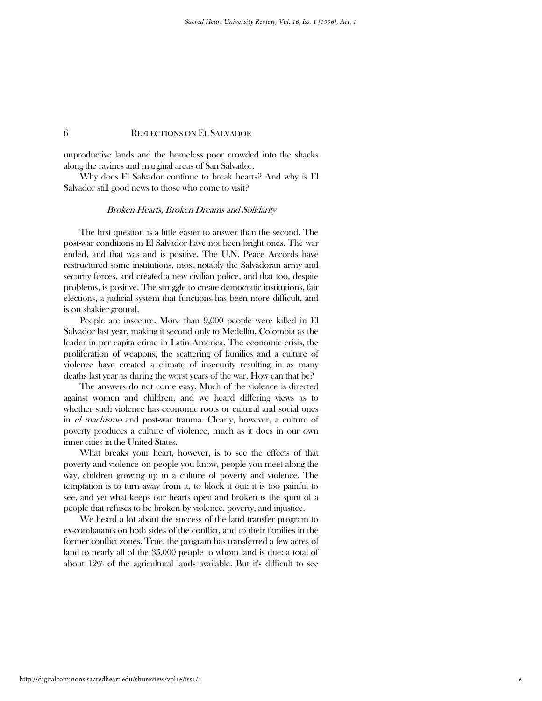unproductive lands and the homeless poor crowded into the shacks along the ravines and marginal areas of San Salvador.

 Why does El Salvador continue to break hearts? And why is El Salvador still good news to those who come to visit?

#### Broken Hearts, Broken Dreams and Solidarity

 The first question is a little easier to answer than the second. The post-war conditions in El Salvador have not been bright ones. The war ended, and that was and is positive. The U.N. Peace Accords have restructured some institutions, most notably the Salvadoran army and security forces, and created a new civilian police, and that too, despite problems, is positive. The struggle to create democratic institutions, fair elections, a judicial system that functions has been more difficult, and is on shakier ground.

 People are insecure. More than 9,000 people were killed in El Salvador last year, making it second only to Medellín, Colombia as the leader in per capita crime in Latin America. The economic crisis, the proliferation of weapons, the scattering of families and a culture of violence have created a climate of insecurity resulting in as many deaths last year as during the worst years of the war. How can that be?

 The answers do not come easy. Much of the violence is directed against women and children, and we heard differing views as to whether such violence has economic roots or cultural and social ones in el machismo and post-war trauma. Clearly, however, a culture of poverty produces a culture of violence, much as it does in our own inner-cities in the United States.

 What breaks your heart, however, is to see the effects of that poverty and violence on people you know, people you meet along the way, children growing up in a culture of poverty and violence. The temptation is to turn away from it, to block it out; it is too painful to see, and yet what keeps our hearts open and broken is the spirit of a people that refuses to be broken by violence, poverty, and injustice.

 We heard a lot about the success of the land transfer program to ex-combatants on both sides of the conflict, and to their families in the former conflict zones. True, the program has transferred a few acres of land to nearly all of the 35,000 people to whom land is due: a total of about 12% of the agricultural lands available. But it's difficult to see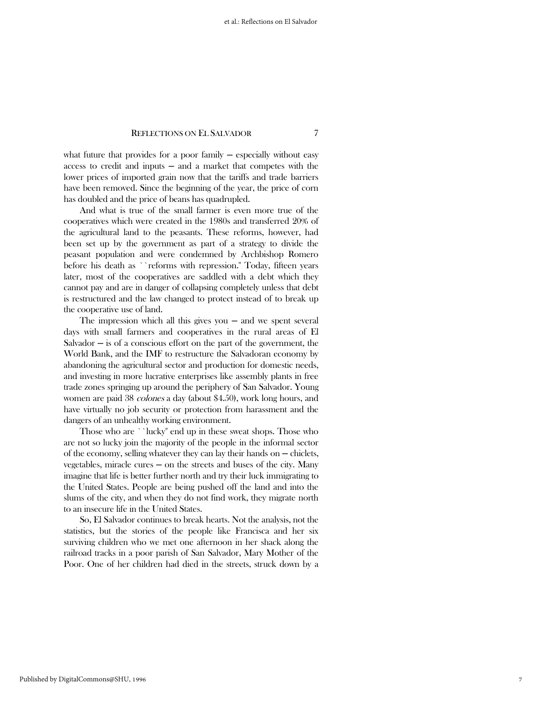what future that provides for a poor family  $-$  especially without easy  $access$  to credit and inputs  $-$  and a market that competes with the lower prices of imported grain now that the tariffs and trade barriers have been removed. Since the beginning of the year, the price of corn has doubled and the price of beans has quadrupled.

 And what is true of the small farmer is even more true of the cooperatives which were created in the 1980s and transferred 20% of the agricultural land to the peasants. These reforms, however, had been set up by the government as part of a strategy to divide the peasant population and were condemned by Archbishop Romero before his death as ``reforms with repression.'' Today, fifteen years later, most of the cooperatives are saddled with a debt which they cannot pay and are in danger of collapsing completely unless that debt is restructured and the law changed to protect instead of to break up the cooperative use of land.

The impression which all this gives you  $-$  and we spent several days with small farmers and cooperatives in the rural areas of El  $Salvador - is of a conscious effort on the part of the government, the$ World Bank, and the IMF to restructure the Salvadoran economy by abandoning the agricultural sector and production for domestic needs, and investing in more lucrative enterprises like assembly plants in free trade zones springing up around the periphery of San Salvador. Young women are paid 38 colones a day (about \$4.50), work long hours, and have virtually no job security or protection from harassment and the dangers of an unhealthy working environment.

 Those who are ``lucky'' end up in these sweat shops. Those who are not so lucky join the majority of the people in the informal sector of the economy, selling whatever they can lay their hands on  $-$  chiclets, vegetables, miracle cures  $-$  on the streets and buses of the city. Many imagine that life is better further north and try their luck immigrating to the United States. People are being pushed off the land and into the slums of the city, and when they do not find work, they migrate north to an insecure life in the United States.

 So, El Salvador continues to break hearts. Not the analysis, not the statistics, but the stories of the people like Francisca and her six surviving children who we met one afternoon in her shack along the railroad tracks in a poor parish of San Salvador, Mary Mother of the Poor. One of her children had died in the streets, struck down by a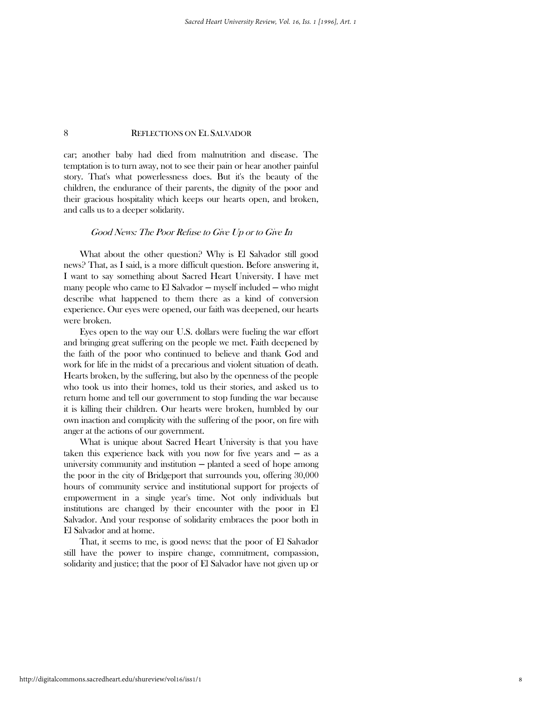car; another baby had died from malnutrition and disease. The temptation is to turn away, not to see their pain or hear another painful story. That's what powerlessness does. But it's the beauty of the children, the endurance of their parents, the dignity of the poor and their gracious hospitality which keeps our hearts open, and broken, and calls us to a deeper solidarity.

#### Good News: The Poor Refuse to Give Up or to Give In

 What about the other question? Why is El Salvador still good news? That, as I said, is a more difficult question. Before answering it, I want to say something about Sacred Heart University. I have met many people who came to El Salvador — myself included — who might describe what happened to them there as a kind of conversion experience. Our eyes were opened, our faith was deepened, our hearts were broken.

 Eyes open to the way our U.S. dollars were fueling the war effort and bringing great suffering on the people we met. Faith deepened by the faith of the poor who continued to believe and thank God and work for life in the midst of a precarious and violent situation of death. Hearts broken, by the suffering, but also by the openness of the people who took us into their homes, told us their stories, and asked us to return home and tell our government to stop funding the war because it is killing their children. Our hearts were broken, humbled by our own inaction and complicity with the suffering of the poor, on fire with anger at the actions of our government.

 What is unique about Sacred Heart University is that you have taken this experience back with you now for five years and  $-$  as a university community and institution  $-$  planted a seed of hope among the poor in the city of Bridgeport that surrounds you, offering 30,000 hours of community service and institutional support for projects of empowerment in a single year's time. Not only individuals but institutions are changed by their encounter with the poor in El Salvador. And your response of solidarity embraces the poor both in El Salvador and at home.

 That, it seems to me, is good news: that the poor of El Salvador still have the power to inspire change, commitment, compassion, solidarity and justice; that the poor of El Salvador have not given up or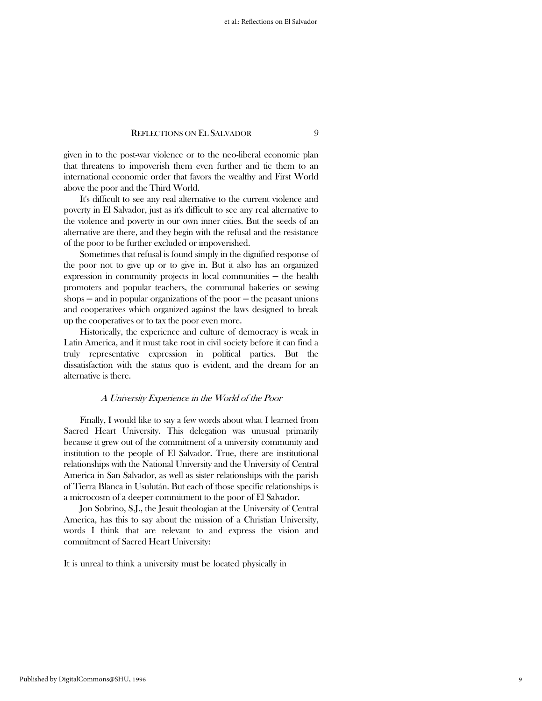given in to the post-war violence or to the neo-liberal economic plan that threatens to impoverish them even further and tie them to an international economic order that favors the wealthy and First World above the poor and the Third World.

 It's difficult to see any real alternative to the current violence and poverty in El Salvador, just as it's difficult to see any real alternative to the violence and poverty in our own inner cities. But the seeds of an alternative are there, and they begin with the refusal and the resistance of the poor to be further excluded or impoverished.

 Sometimes that refusal is found simply in the dignified response of the poor not to give up or to give in. But it also has an organized expression in community projects in local communities — the health promoters and popular teachers, the communal bakeries or sewing shops  $-$  and in popular organizations of the poor  $-$  the peasant unions and cooperatives which organized against the laws designed to break up the cooperatives or to tax the poor even more.

 Historically, the experience and culture of democracy is weak in Latin America, and it must take root in civil society before it can find a truly representative expression in political parties. But the dissatisfaction with the status quo is evident, and the dream for an alternative is there.

#### A University Experience in the World of the Poor

 Finally, I would like to say a few words about what I learned from Sacred Heart University. This delegation was unusual primarily because it grew out of the commitment of a university community and institution to the people of El Salvador. True, there are institutional relationships with the National University and the University of Central America in San Salvador, as well as sister relationships with the parish of Tierra Blanca in Usulután. But each of those specific relationships is a microcosm of a deeper commitment to the poor of El Salvador.

 Jon Sobrino, S.J., the Jesuit theologian at the University of Central America, has this to say about the mission of a Christian University, words I think that are relevant to and express the vision and commitment of Sacred Heart University:

It is unreal to think a university must be located physically in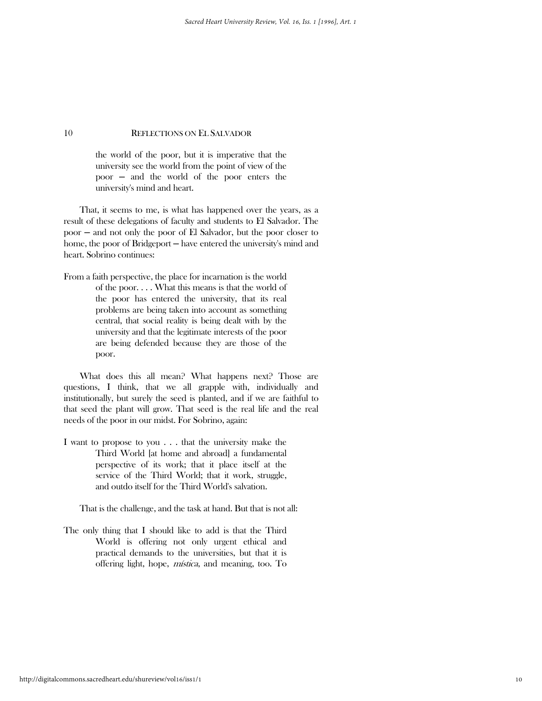the world of the poor, but it is imperative that the university see the world from the point of view of the poor ─ and the world of the poor enters the university's mind and heart.

 That, it seems to me, is what has happened over the years, as a result of these delegations of faculty and students to El Salvador. The poor ─ and not only the poor of El Salvador, but the poor closer to home, the poor of Bridgeport — have entered the university's mind and heart. Sobrino continues:

From a faith perspective, the place for incarnation is the world of the poor. . . . What this means is that the world of the poor has entered the university, that its real problems are being taken into account as something central, that social reality is being dealt with by the university and that the legitimate interests of the poor are being defended because they are those of the poor.

 What does this all mean? What happens next? Those are questions, I think, that we all grapple with, individually and institutionally, but surely the seed is planted, and if we are faithful to that seed the plant will grow. That seed is the real life and the real needs of the poor in our midst. For Sobrino, again:

I want to propose to you . . . that the university make the Third World [at home and abroad] a fundamental perspective of its work; that it place itself at the service of the Third World; that it work, struggle, and outdo itself for the Third World's salvation.

That is the challenge, and the task at hand. But that is not all:

The only thing that I should like to add is that the Third World is offering not only urgent ethical and practical demands to the universities, but that it is offering light, hope, mística, and meaning, too. To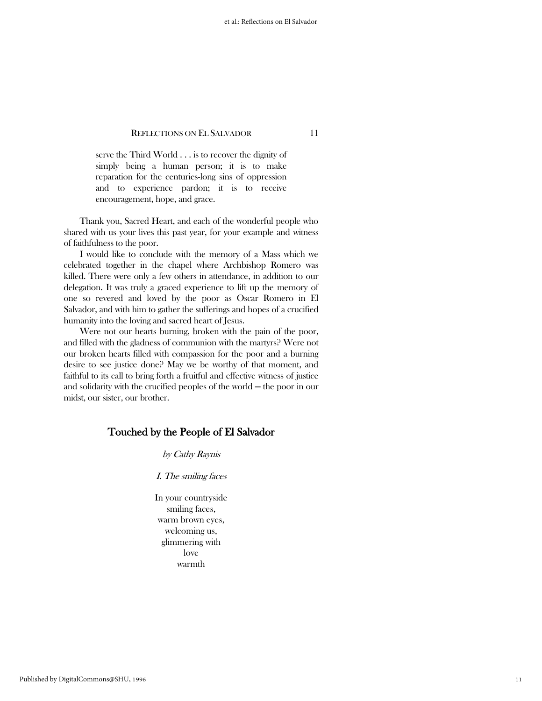serve the Third World . . . is to recover the dignity of simply being a human person; it is to make reparation for the centuries-long sins of oppression and to experience pardon; it is to receive encouragement, hope, and grace.

 Thank you, Sacred Heart, and each of the wonderful people who shared with us your lives this past year, for your example and witness of faithfulness to the poor.

 I would like to conclude with the memory of a Mass which we celebrated together in the chapel where Archbishop Romero was killed. There were only a few others in attendance, in addition to our delegation. It was truly a graced experience to lift up the memory of one so revered and loved by the poor as Oscar Romero in El Salvador, and with him to gather the sufferings and hopes of a crucified humanity into the loving and sacred heart of Jesus.

 Were not our hearts burning, broken with the pain of the poor, and filled with the gladness of communion with the martyrs? Were not our broken hearts filled with compassion for the poor and a burning desire to see justice done? May we be worthy of that moment, and faithful to its call to bring forth a fruitful and effective witness of justice and solidarity with the crucified peoples of the world — the poor in our midst, our sister, our brother.

# Touched by the People of El Salvador

by Cathy Raynis

I. The smiling faces

In your countryside smiling faces, warm brown eyes, welcoming us, glimmering with love warmth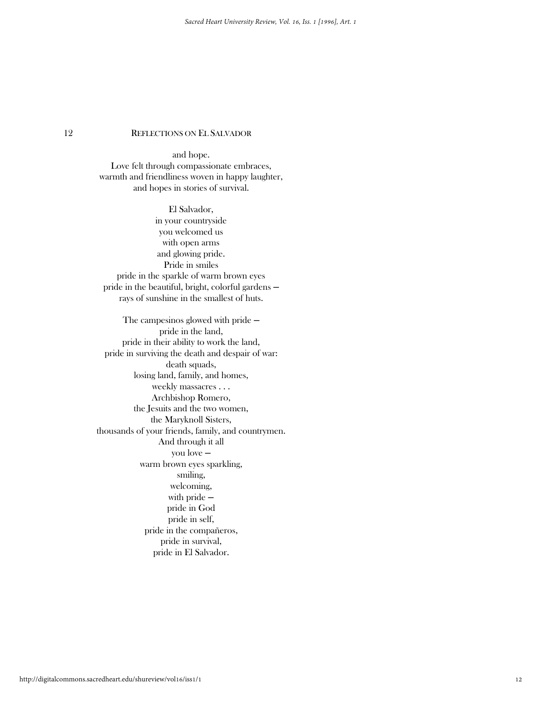and hope. Love felt through compassionate embraces, warmth and friendliness woven in happy laughter, and hopes in stories of survival.

El Salvador, in your countryside you welcomed us with open arms and glowing pride. Pride in smiles pride in the sparkle of warm brown eyes pride in the beautiful, bright, colorful gardens rays of sunshine in the smallest of huts.

The campesinos glowed with pride  $$ pride in the land, pride in their ability to work the land, pride in surviving the death and despair of war: death squads, losing land, family, and homes, weekly massacres . . . Archbishop Romero, the Jesuits and the two women, the Maryknoll Sisters, thousands of your friends, family, and countrymen. And through it all you love ─ warm brown eyes sparkling, smiling, welcoming, with pride  $$ pride in God pride in self, pride in the compañeros, pride in survival, pride in El Salvador.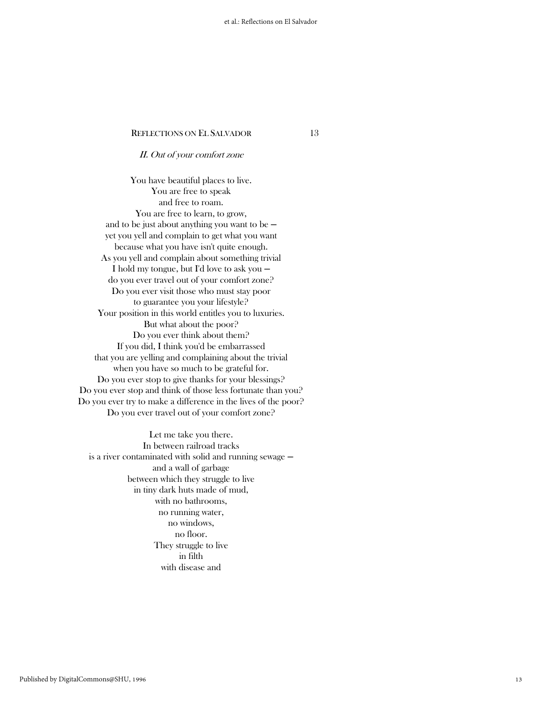### II. Out of your comfort zone

You have beautiful places to live. You are free to speak and free to roam. You are free to learn, to grow, and to be just about anything you want to be  $$ yet you yell and complain to get what you want because what you have isn't quite enough. As you yell and complain about something trivial I hold my tongue, but I'd love to ask you ─ do you ever travel out of your comfort zone? Do you ever visit those who must stay poor to guarantee you your lifestyle? Your position in this world entitles you to luxuries. But what about the poor? Do you ever think about them? If you did, I think you'd be embarrassed that you are yelling and complaining about the trivial when you have so much to be grateful for. Do you ever stop to give thanks for your blessings? Do you ever stop and think of those less fortunate than you? Do you ever try to make a difference in the lives of the poor? Do you ever travel out of your comfort zone?

Let me take you there. In between railroad tracks is a river contaminated with solid and running sewage  $$ and a wall of garbage between which they struggle to live in tiny dark huts made of mud, with no bathrooms, no running water, no windows, no floor. They struggle to live in filth with disease and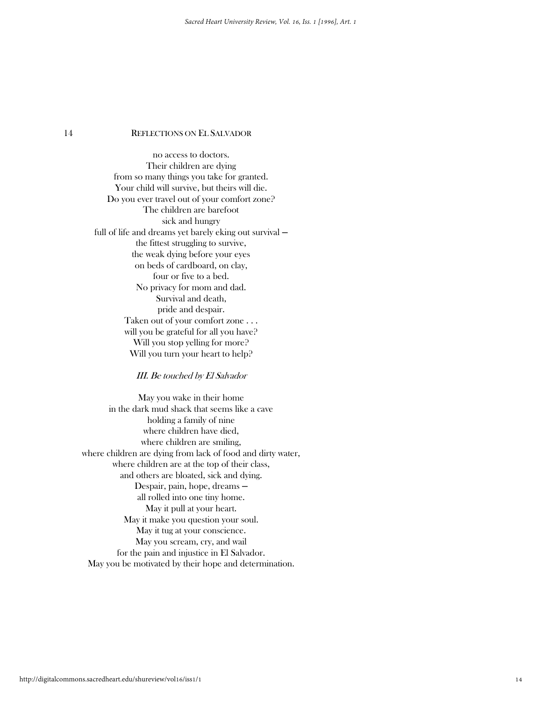no access to doctors. Their children are dying from so many things you take for granted. Your child will survive, but theirs will die. Do you ever travel out of your comfort zone? The children are barefoot sick and hungry full of life and dreams yet barely eking out survival the fittest struggling to survive, the weak dying before your eyes on beds of cardboard, on clay, four or five to a bed. No privacy for mom and dad. Survival and death, pride and despair. Taken out of your comfort zone . . . will you be grateful for all you have? Will you stop yelling for more? Will you turn your heart to help?

### III. Be touched by El Salvador

May you wake in their home in the dark mud shack that seems like a cave holding a family of nine where children have died, where children are smiling, where children are dying from lack of food and dirty water, where children are at the top of their class, and others are bloated, sick and dying. Despair, pain, hope, dreams ─ all rolled into one tiny home. May it pull at your heart. May it make you question your soul. May it tug at your conscience. May you scream, cry, and wail for the pain and injustice in El Salvador. May you be motivated by their hope and determination.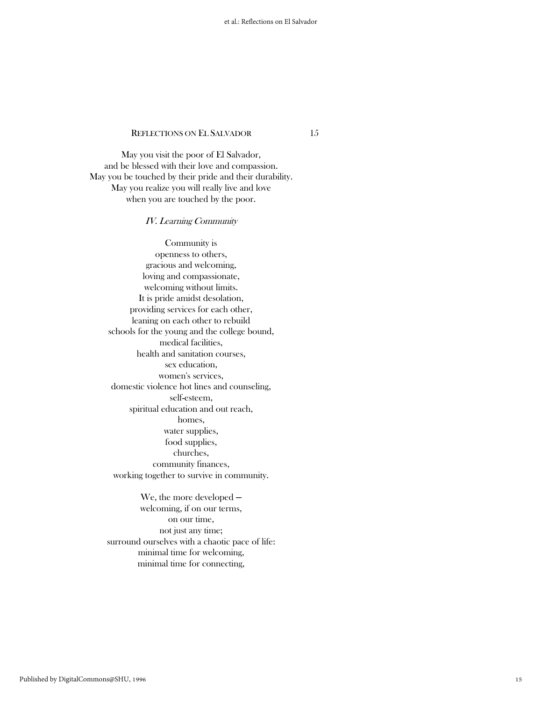May you visit the poor of El Salvador, and be blessed with their love and compassion. May you be touched by their pride and their durability. May you realize you will really live and love when you are touched by the poor.

### IV. Learning Community

Community is openness to others, gracious and welcoming, loving and compassionate, welcoming without limits. It is pride amidst desolation, providing services for each other, leaning on each other to rebuild schools for the young and the college bound, medical facilities, health and sanitation courses, sex education, women's services, domestic violence hot lines and counseling, self-esteem, spiritual education and out reach, homes, water supplies, food supplies, churches, community finances, working together to survive in community.

We, the more developed  $$ welcoming, if on our terms, on our time, not just any time; surround ourselves with a chaotic pace of life: minimal time for welcoming, minimal time for connecting,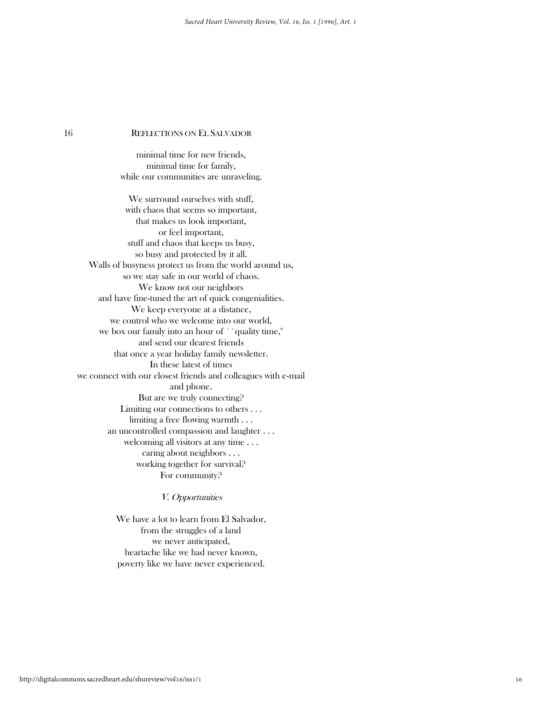minimal time for new friends, minimal time for family, while our communities are unraveling.

We surround ourselves with stuff, with chaos that seems so important, that makes us look important, or feel important, stuff and chaos that keeps us busy, so busy and protected by it all. Walls of busyness protect us from the world around us, so we stay safe in our world of chaos. We know not our neighbors and have fine-tuned the art of quick congenialities. We keep everyone at a distance, we control who we welcome into our world, we box our family into an hour of ``quality time,'' and send our dearest friends that once a year holiday family newsletter. In these latest of times we connect with our closest friends and colleagues with e-mail and phone. But are we truly connecting? Limiting our connections to others . . . limiting a free flowing warmth . . . an uncontrolled compassion and laughter . . . welcoming all visitors at any time . . . caring about neighbors . . . working together for survival? For community?

V. Opportunities

We have a lot to learn from El Salvador, from the struggles of a land we never anticipated, heartache like we had never known, poverty like we have never experienced.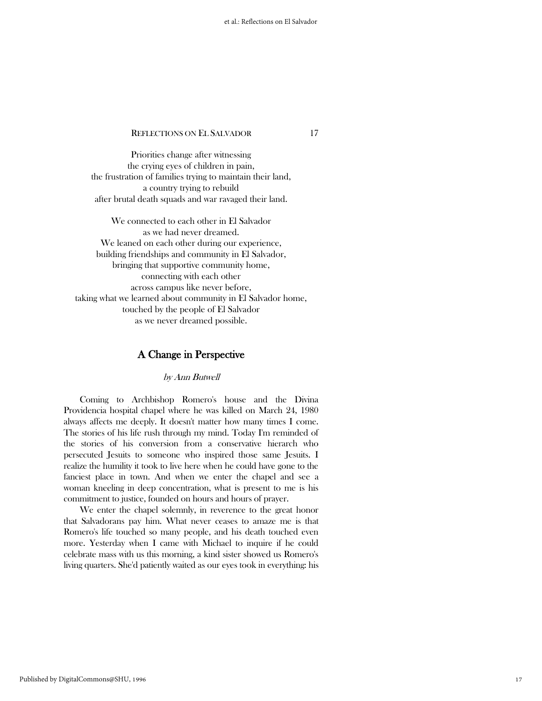Priorities change after witnessing the crying eyes of children in pain, the frustration of families trying to maintain their land, a country trying to rebuild after brutal death squads and war ravaged their land.

We connected to each other in El Salvador as we had never dreamed. We leaned on each other during our experience, building friendships and community in El Salvador, bringing that supportive community home, connecting with each other across campus like never before, taking what we learned about community in El Salvador home, touched by the people of El Salvador as we never dreamed possible.

# A Change in Perspective

### by Ann Butwell

 Coming to Archbishop Romero's house and the Divina Providencia hospital chapel where he was killed on March 24, 1980 always affects me deeply. It doesn't matter how many times I come. The stories of his life rush through my mind. Today I'm reminded of the stories of his conversion from a conservative hierarch who persecuted Jesuits to someone who inspired those same Jesuits. I realize the humility it took to live here when he could have gone to the fanciest place in town. And when we enter the chapel and see a woman kneeling in deep concentration, what is present to me is his commitment to justice, founded on hours and hours of prayer.

 We enter the chapel solemnly, in reverence to the great honor that Salvadorans pay him. What never ceases to amaze me is that Romero's life touched so many people, and his death touched even more. Yesterday when I came with Michael to inquire if he could celebrate mass with us this morning, a kind sister showed us Romero's living quarters. She'd patiently waited as our eyes took in everything: his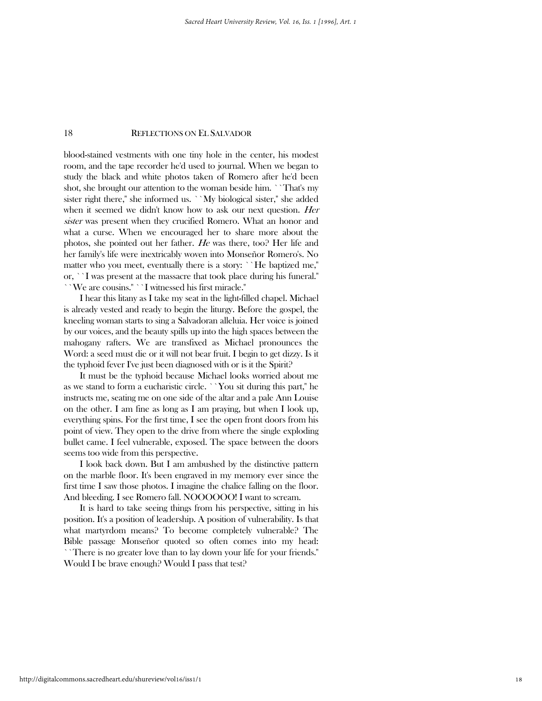blood-stained vestments with one tiny hole in the center, his modest room, and the tape recorder he'd used to journal. When we began to study the black and white photos taken of Romero after he'd been shot, she brought our attention to the woman beside him. ``That's my sister right there," she informed us. ``My biological sister," she added when it seemed we didn't know how to ask our next question. Her sister was present when they crucified Romero. What an honor and what a curse. When we encouraged her to share more about the photos, she pointed out her father. He was there, too? Her life and her family's life were inextricably woven into Monseñor Romero's. No matter who you meet, eventually there is a story: ``He baptized me,'' or, ``I was present at the massacre that took place during his funeral.'' ``We are cousins.'' ``I witnessed his first miracle.''

 I hear this litany as I take my seat in the light-filled chapel. Michael is already vested and ready to begin the liturgy. Before the gospel, the kneeling woman starts to sing a Salvadoran alleluia. Her voice is joined by our voices, and the beauty spills up into the high spaces between the mahogany rafters. We are transfixed as Michael pronounces the Word: a seed must die or it will not bear fruit. I begin to get dizzy. Is it the typhoid fever I've just been diagnosed with or is it the Spirit?

 It must be the typhoid because Michael looks worried about me as we stand to form a eucharistic circle. ``You sit during this part,'' he instructs me, seating me on one side of the altar and a pale Ann Louise on the other. I am fine as long as I am praying, but when I look up, everything spins. For the first time, I see the open front doors from his point of view. They open to the drive from where the single exploding bullet came. I feel vulnerable, exposed. The space between the doors seems too wide from this perspective.

 I look back down. But I am ambushed by the distinctive pattern on the marble floor. It's been engraved in my memory ever since the first time I saw those photos. I imagine the chalice falling on the floor. And bleeding. I see Romero fall. NOOOOOO! I want to scream.

 It is hard to take seeing things from his perspective, sitting in his position. It's a position of leadership. A position of vulnerability. Is that what martyrdom means? To become completely vulnerable? The Bible passage Monseñor quoted so often comes into my head: ``There is no greater love than to lay down your life for your friends.'' Would I be brave enough? Would I pass that test?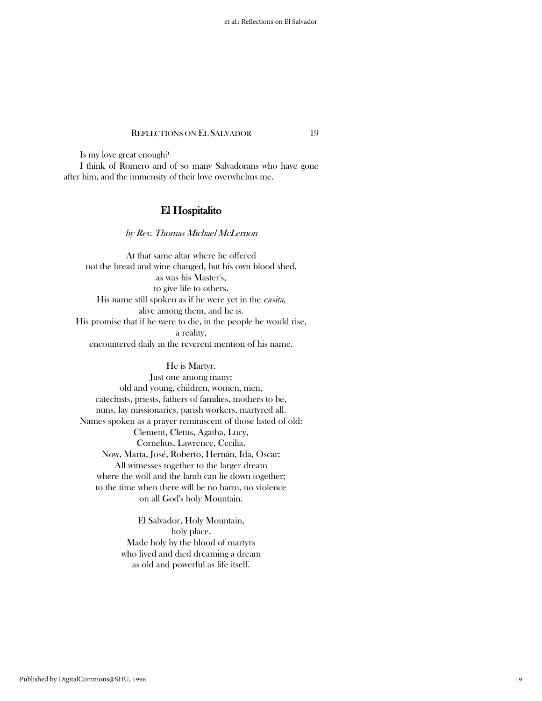Is my love great enough?

 I think of Romero and of so many Salvadorans who have gone after him, and the immensity of their love overwhelms me.

# El Hospitalito

by Rev. Thomas Michael McLernon

At that same altar where he offered not the bread and wine changed, but his own blood shed, as was his Master's, to give life to others. His name still spoken as if he were yet in the *casita*, alive among them, and he is. His promise that if he were to die, in the people he would rise, a reality, encountered daily in the reverent mention of his name.

### He is Martyr.

Just one among many: old and young, children, women, men, catechists, priests, fathers of families, mothers to be, nuns, lay missionaries, parish workers, martyred all. Names spoken as a prayer reminiscent of those listed of old: Clement, Cletus, Agatha, Lucy, Cornelius, Lawrence, Cecilia. Now, María, José, Roberto, Hernán, Ida, Oscar: All witnesses together to the larger dream where the wolf and the lamb can lie down together; to the time when there will be no harm, no violence on all God's holy Mountain.

> El Salvador, Holy Mountain, holy place. Made holy by the blood of martyrs who lived and died dreaming a dream as old and powerful as life itself.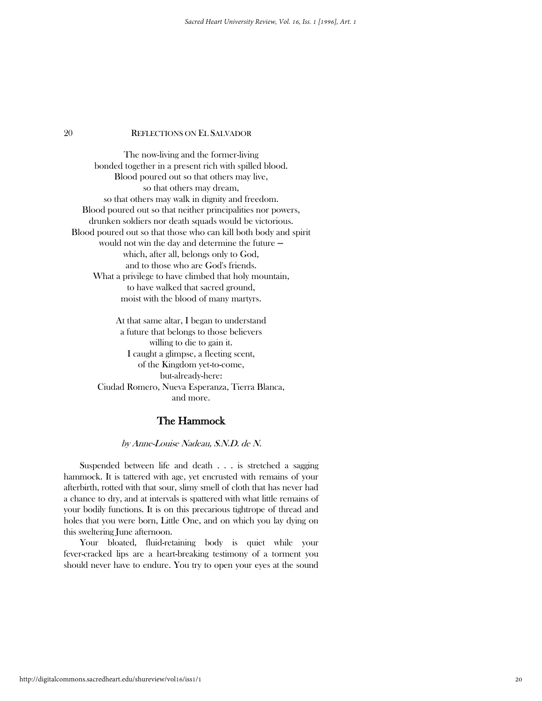The now-living and the former-living bonded together in a present rich with spilled blood. Blood poured out so that others may live, so that others may dream, so that others may walk in dignity and freedom. Blood poured out so that neither principalities nor powers, drunken soldiers nor death squads would be victorious. Blood poured out so that those who can kill both body and spirit would not win the day and determine the future  $$ which, after all, belongs only to God, and to those who are God's friends. What a privilege to have climbed that holy mountain, to have walked that sacred ground, moist with the blood of many martyrs.

> At that same altar, I began to understand a future that belongs to those believers willing to die to gain it. I caught a glimpse, a fleeting scent, of the Kingdom yet-to-come, but-already-here: Ciudad Romero, Nueva Esperanza, Tierra Blanca, and more.

# The Hammock

### by Anne-Louise Nadeau, S.N.D. de N.

 Suspended between life and death . . . is stretched a sagging hammock. It is tattered with age, yet encrusted with remains of your afterbirth, rotted with that sour, slimy smell of cloth that has never had a chance to dry, and at intervals is spattered with what little remains of your bodily functions. It is on this precarious tightrope of thread and holes that you were born, Little One, and on which you lay dying on this sweltering June afternoon.

 Your bloated, fluid-retaining body is quiet while your fever-cracked lips are a heart-breaking testimony of a torment you should never have to endure. You try to open your eyes at the sound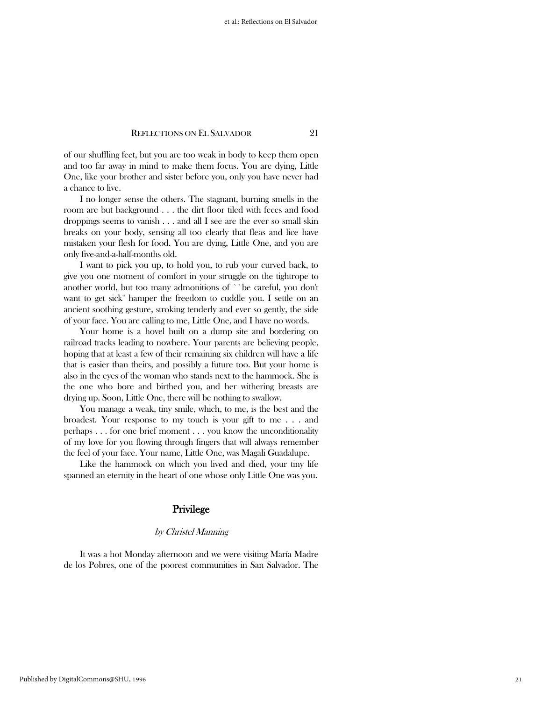of our shuffling feet, but you are too weak in body to keep them open and too far away in mind to make them focus. You are dying, Little One, like your brother and sister before you, only you have never had a chance to live.

 I no longer sense the others. The stagnant, burning smells in the room are but background . . . the dirt floor tiled with feces and food droppings seems to vanish . . . and all I see are the ever so small skin breaks on your body, sensing all too clearly that fleas and lice have mistaken your flesh for food. You are dying, Little One, and you are only five-and-a-half-months old.

 I want to pick you up, to hold you, to rub your curved back, to give you one moment of comfort in your struggle on the tightrope to another world, but too many admonitions of ``be careful, you don't want to get sick'' hamper the freedom to cuddle you. I settle on an ancient soothing gesture, stroking tenderly and ever so gently, the side of your face. You are calling to me, Little One, and I have no words.

 Your home is a hovel built on a dump site and bordering on railroad tracks leading to nowhere. Your parents are believing people, hoping that at least a few of their remaining six children will have a life that is easier than theirs, and possibly a future too. But your home is also in the eyes of the woman who stands next to the hammock. She is the one who bore and birthed you, and her withering breasts are drying up. Soon, Little One, there will be nothing to swallow.

 You manage a weak, tiny smile, which, to me, is the best and the broadest. Your response to my touch is your gift to me . . . and perhaps . . . for one brief moment . . . you know the unconditionality of my love for you flowing through fingers that will always remember the feel of your face. Your name, Little One, was Magali Guadalupe.

 Like the hammock on which you lived and died, your tiny life spanned an eternity in the heart of one whose only Little One was you.

# Privilege

#### by Christel Manning

 It was a hot Monday afternoon and we were visiting María Madre de los Pobres, one of the poorest communities in San Salvador. The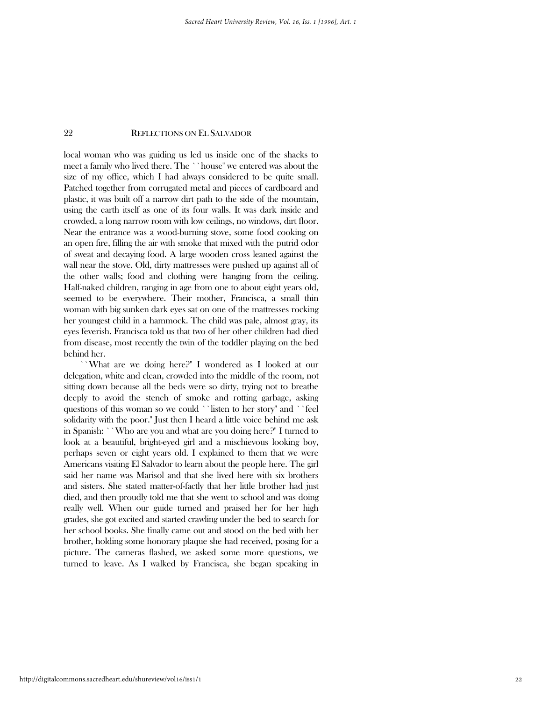local woman who was guiding us led us inside one of the shacks to meet a family who lived there. The ``house" we entered was about the size of my office, which I had always considered to be quite small. Patched together from corrugated metal and pieces of cardboard and plastic, it was built off a narrow dirt path to the side of the mountain, using the earth itself as one of its four walls. It was dark inside and crowded, a long narrow room with low ceilings, no windows, dirt floor. Near the entrance was a wood-burning stove, some food cooking on an open fire, filling the air with smoke that mixed with the putrid odor of sweat and decaying food. A large wooden cross leaned against the wall near the stove. Old, dirty mattresses were pushed up against all of the other walls; food and clothing were hanging from the ceiling. Half-naked children, ranging in age from one to about eight years old, seemed to be everywhere. Their mother, Francisca, a small thin woman with big sunken dark eyes sat on one of the mattresses rocking her youngest child in a hammock. The child was pale, almost gray, its eyes feverish. Francisca told us that two of her other children had died from disease, most recently the twin of the toddler playing on the bed behind her.

 ``What are we doing here?'' I wondered as I looked at our delegation, white and clean, crowded into the middle of the room, not sitting down because all the beds were so dirty, trying not to breathe deeply to avoid the stench of smoke and rotting garbage, asking questions of this woman so we could ``listen to her story'' and ``feel solidarity with the poor.'' Just then I heard a little voice behind me ask in Spanish: ``Who are you and what are you doing here?'' I turned to look at a beautiful, bright-eyed girl and a mischievous looking boy, perhaps seven or eight years old. I explained to them that we were Americans visiting El Salvador to learn about the people here. The girl said her name was Marisol and that she lived here with six brothers and sisters. She stated matter-of-factly that her little brother had just died, and then proudly told me that she went to school and was doing really well. When our guide turned and praised her for her high grades, she got excited and started crawling under the bed to search for her school books. She finally came out and stood on the bed with her brother, holding some honorary plaque she had received, posing for a picture. The cameras flashed, we asked some more questions, we turned to leave. As I walked by Francisca, she began speaking in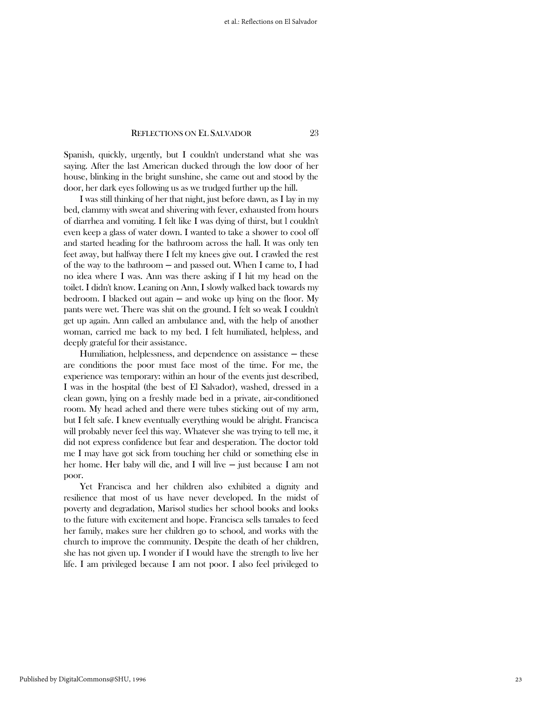Spanish, quickly, urgently, but I couldn't understand what she was saying. After the last American ducked through the low door of her house, blinking in the bright sunshine, she came out and stood by the door, her dark eyes following us as we trudged further up the hill.

 I was still thinking of her that night, just before dawn, as I lay in my bed, clammy with sweat and shivering with fever, exhausted from hours of diarrhea and vomiting. I felt like I was dying of thirst, but l couldn't even keep a glass of water down. I wanted to take a shower to cool off and started heading for the bathroom across the hall. It was only ten feet away, but halfway there I felt my knees give out. I crawled the rest of the way to the bathroom ─ and passed out. When I came to, I had no idea where I was. Ann was there asking if I hit my head on the toilet. I didn't know. Leaning on Ann, I slowly walked back towards my bedroom. I blacked out again — and woke up lying on the floor. My pants were wet. There was shit on the ground. I felt so weak I couldn't get up again. Ann called an ambulance and, with the help of another woman, carried me back to my bed. I felt humiliated, helpless, and deeply grateful for their assistance.

Humiliation, helplessness, and dependence on assistance  $-$  these are conditions the poor must face most of the time. For me, the experience was temporary: within an hour of the events just described, I was in the hospital (the best of El Salvador), washed, dressed in a clean gown, lying on a freshly made bed in a private, air-conditioned room. My head ached and there were tubes sticking out of my arm, but I felt safe. I knew eventually everything would be alright. Francisca will probably never feel this way. Whatever she was trying to tell me, it did not express confidence but fear and desperation. The doctor told me I may have got sick from touching her child or something else in her home. Her baby will die, and I will live — just because I am not poor.

 Yet Francisca and her children also exhibited a dignity and resilience that most of us have never developed. In the midst of poverty and degradation, Marisol studies her school books and looks to the future with excitement and hope. Francisca sells tamales to feed her family, makes sure her children go to school, and works with the church to improve the community. Despite the death of her children, she has not given up. I wonder if I would have the strength to live her life. I am privileged because I am not poor. I also feel privileged to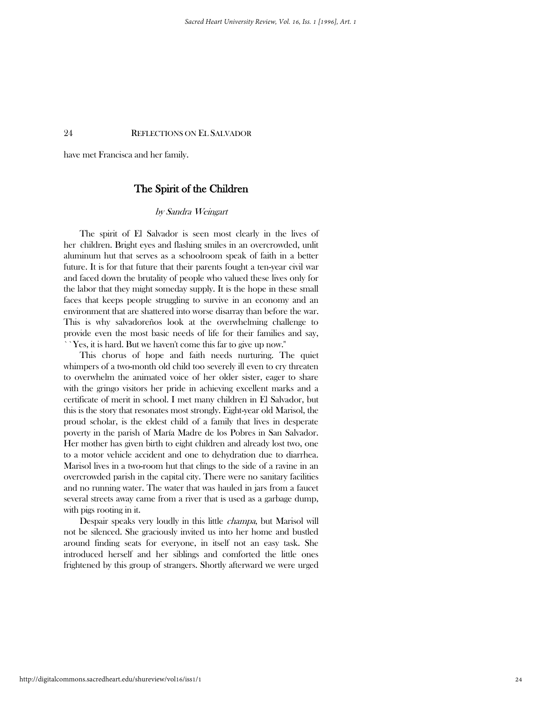have met Francisca and her family.

# The Spirit of the Children

#### by Sandra Weingart

 The spirit of El Salvador is seen most clearly in the lives of her children. Bright eyes and flashing smiles in an overcrowded, unlit aluminum hut that serves as a schoolroom speak of faith in a better future. It is for that future that their parents fought a ten-year civil war and faced down the brutality of people who valued these lives only for the labor that they might someday supply. It is the hope in these small faces that keeps people struggling to survive in an economy and an environment that are shattered into worse disarray than before the war. This is why salvadoreños look at the overwhelming challenge to provide even the most basic needs of life for their families and say, ``Yes, it is hard. But we haven't come this far to give up now.''

 This chorus of hope and faith needs nurturing. The quiet whimpers of a two-month old child too severely ill even to cry threaten to overwhelm the animated voice of her older sister, eager to share with the gringo visitors her pride in achieving excellent marks and a certificate of merit in school. I met many children in El Salvador, but this is the story that resonates most strongly. Eight-year old Marisol, the proud scholar, is the eldest child of a family that lives in desperate poverty in the parish of María Madre de los Pobres in San Salvador. Her mother has given birth to eight children and already lost two, one to a motor vehicle accident and one to dehydration due to diarrhea. Marisol lives in a two-room hut that clings to the side of a ravine in an overcrowded parish in the capital city. There were no sanitary facilities and no running water. The water that was hauled in jars from a faucet several streets away came from a river that is used as a garbage dump, with pigs rooting in it.

 Despair speaks very loudly in this little champa, but Marisol will not be silenced. She graciously invited us into her home and bustled around finding seats for everyone, in itself not an easy task. She introduced herself and her siblings and comforted the little ones frightened by this group of strangers. Shortly afterward we were urged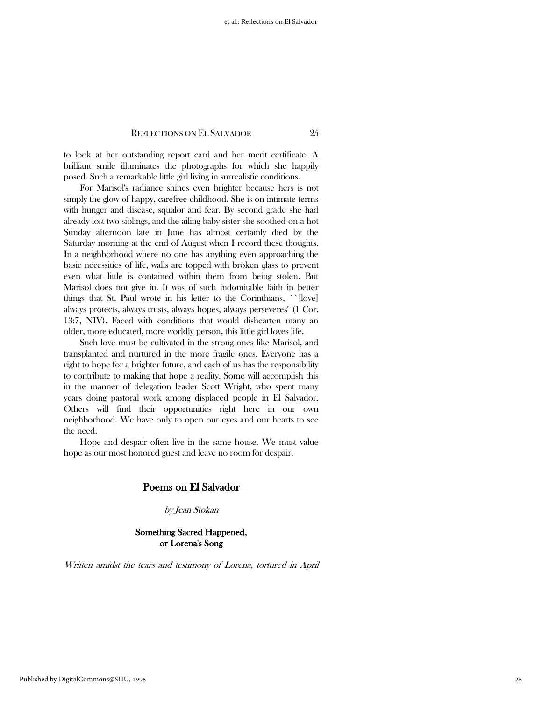to look at her outstanding report card and her merit certificate. A brilliant smile illuminates the photographs for which she happily posed. Such a remarkable little girl living in surrealistic conditions.

 For Marisol's radiance shines even brighter because hers is not simply the glow of happy, carefree childhood. She is on intimate terms with hunger and disease, squalor and fear. By second grade she had already lost two siblings, and the ailing baby sister she soothed on a hot Sunday afternoon late in June has almost certainly died by the Saturday morning at the end of August when I record these thoughts. In a neighborhood where no one has anything even approaching the basic necessities of life, walls are topped with broken glass to prevent even what little is contained within them from being stolen. But Marisol does not give in. It was of such indomitable faith in better things that St. Paul wrote in his letter to the Corinthians, `` [love] always protects, always trusts, always hopes, always perseveres'' (1 Cor. 13:7, NIV). Faced with conditions that would dishearten many an older, more educated, more worldly person, this little girl loves life.

 Such love must be cultivated in the strong ones like Marisol, and transplanted and nurtured in the more fragile ones. Everyone has a right to hope for a brighter future, and each of us has the responsibility to contribute to making that hope a reality. Some will accomplish this in the manner of delegation leader Scott Wright, who spent many years doing pastoral work among displaced people in El Salvador. Others will find their opportunities right here in our own neighborhood. We have only to open our eyes and our hearts to see the need.

 Hope and despair often live in the same house. We must value hope as our most honored guest and leave no room for despair.

# Poems on El Salvador

by Jean Stokan

### Something Sacred Happened, or Lorena's Song

Written amidst the tears and testimony of Lorena, tortured in April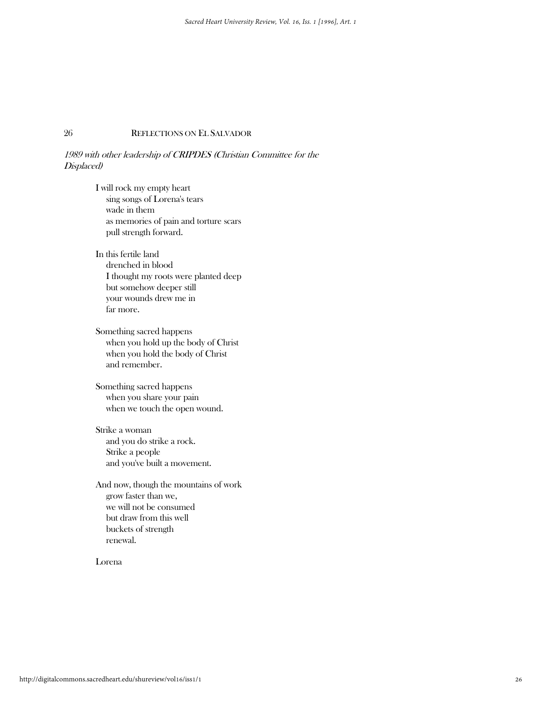### 1989 with other leadership of CRIPDES (Christian Committee for the Displaced)

 I will rock my empty heart sing songs of Lorena's tears wade in them as memories of pain and torture scars pull strength forward. In this fertile land drenched in blood I thought my roots were planted deep but somehow deeper still your wounds drew me in far more.

 Something sacred happens when you hold up the body of Christ when you hold the body of Christ and remember.

 Something sacred happens when you share your pain when we touch the open wound.

 Strike a woman and you do strike a rock. Strike a people and you've built a movement.

 And now, though the mountains of work grow faster than we, we will not be consumed but draw from this well buckets of strength renewal.

Lorena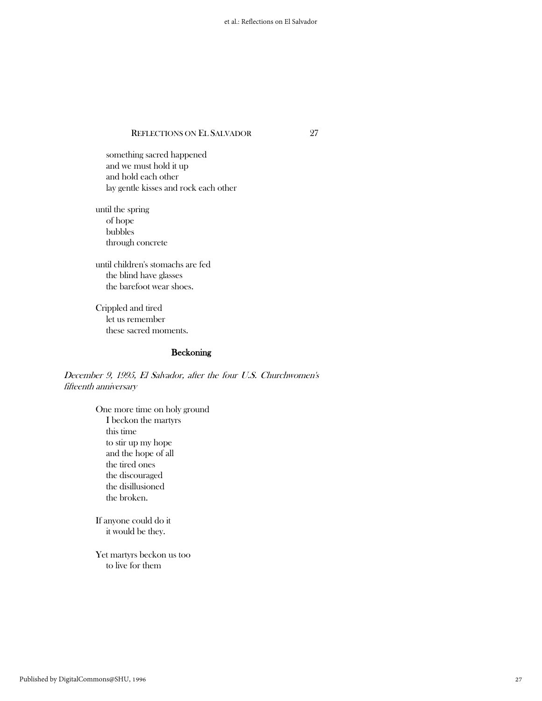something sacred happened and we must hold it up and hold each other lay gentle kisses and rock each other

 until the spring of hope bubbles through concrete

 until children's stomachs are fed the blind have glasses the barefoot wear shoes.

 Crippled and tired let us remember these sacred moments.

# Beckoning

December 9, 1995, El Salvador, after the four U.S. Churchwomen's fifteenth anniversary

> One more time on holy ground I beckon the martyrs this time to stir up my hope and the hope of all the tired ones the discouraged the disillusioned the broken.

 If anyone could do it it would be they.

 Yet martyrs beckon us too to live for them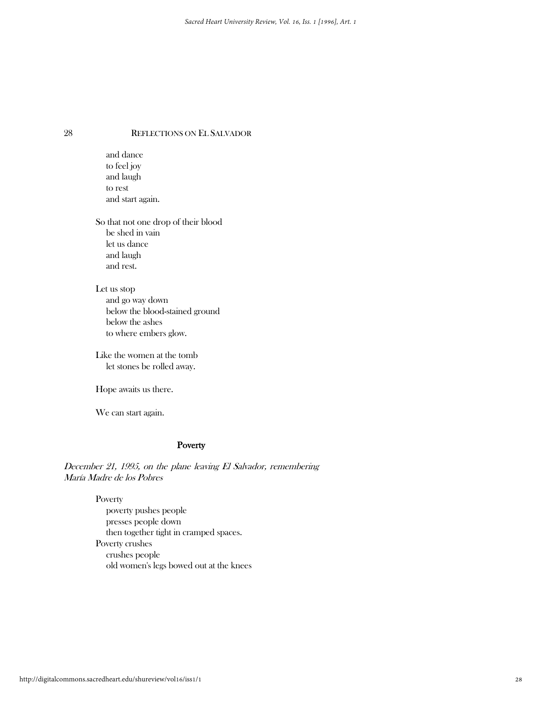and dance to feel joy and laugh to rest and start again.

 So that not one drop of their blood be shed in vain let us dance and laugh and rest.

 Let us stop and go way down below the blood-stained ground below the ashes to where embers glow.

 Like the women at the tomb let stones be rolled away.

Hope awaits us there.

We can start again.

#### Poverty

December 21, 1995, on the plane leaving El Salvador, remembering María Madre de los Pobres

Poverty

 poverty pushes people presses people down then together tight in cramped spaces. Poverty crushes crushes people old women's legs bowed out at the knees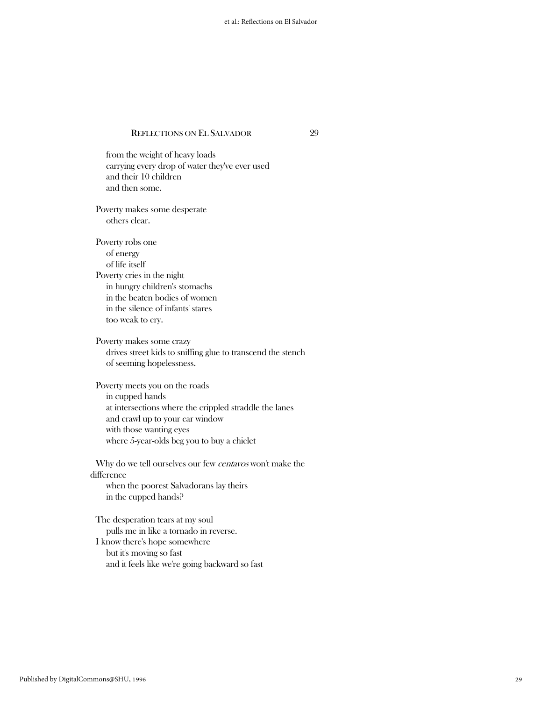from the weight of heavy loads carrying every drop of water they've ever used and their 10 children and then some. Poverty makes some desperate others clear. Poverty robs one of energy of life itself Poverty cries in the night in hungry children's stomachs in the beaten bodies of women in the silence of infants' stares too weak to cry. Poverty makes some crazy drives street kids to sniffing glue to transcend the stench of seeming hopelessness. Poverty meets you on the roads in cupped hands at intersections where the crippled straddle the lanes and crawl up to your car window with those wanting eyes where 5-year-olds beg you to buy a chiclet Why do we tell ourselves our few *centavos* won't make the difference when the poorest Salvadorans lay theirs in the cupped hands? The desperation tears at my soul pulls me in like a tornado in reverse.

 I know there's hope somewhere but it's moving so fast and it feels like we're going backward so fast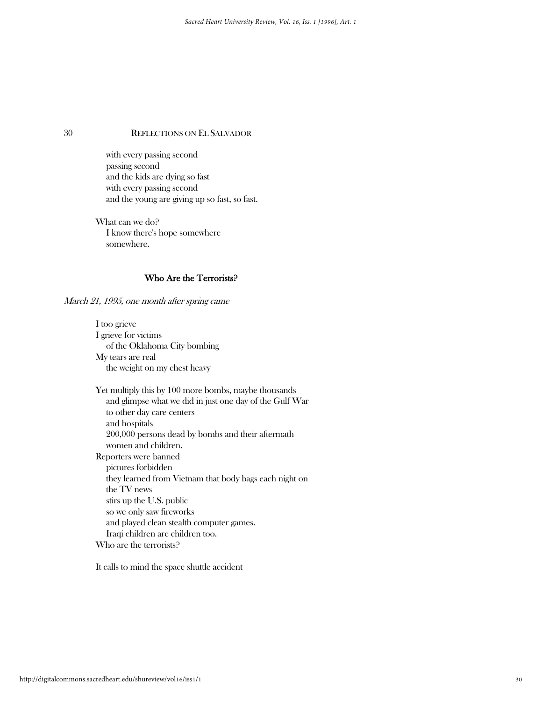with every passing second passing second and the kids are dying so fast with every passing second and the young are giving up so fast, so fast.

 What can we do? I know there's hope somewhere somewhere.

# Who Are the Terrorists?

March 21, 1995, one month after spring came

 I too grieve I grieve for victims of the Oklahoma City bombing My tears are real the weight on my chest heavy

 Yet multiply this by 100 more bombs, maybe thousands and glimpse what we did in just one day of the Gulf War to other day care centers and hospitals 200,000 persons dead by bombs and their aftermath women and children. Reporters were banned pictures forbidden they learned from Vietnam that body bags each night on the TV news stirs up the U.S. public so we only saw fireworks and played clean stealth computer games. Iraqi children are children too. Who are the terrorists?

It calls to mind the space shuttle accident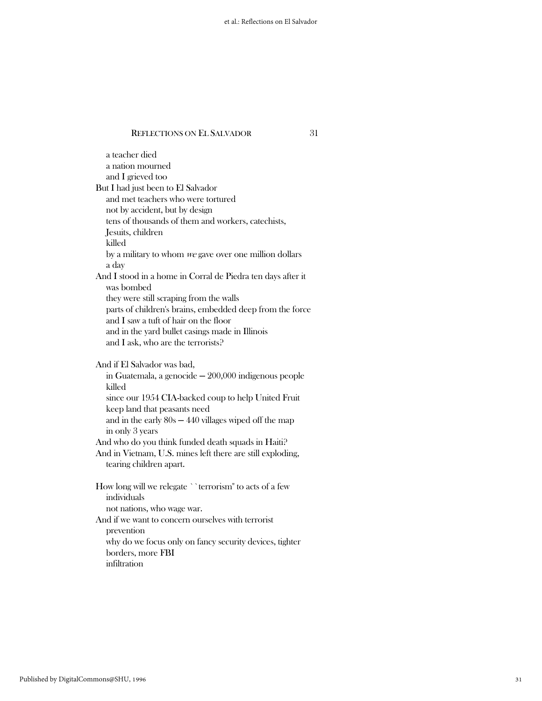a teacher died a nation mourned and I grieved too But I had just been to El Salvador and met teachers who were tortured not by accident, but by design tens of thousands of them and workers, catechists, Jesuits, children killed by a military to whom we gave over one million dollars a day And I stood in a home in Corral de Piedra ten days after it was bombed they were still scraping from the walls parts of children's brains, embedded deep from the force and I saw a tuft of hair on the floor and in the yard bullet casings made in Illinois and I ask, who are the terrorists? And if El Salvador was bad, in Guatemala, a genocide  $-200,000$  indigenous people killed since our 1954 CIA-backed coup to help United Fruit keep land that peasants need and in the early  $80s - 440$  villages wiped off the map in only 3 years And who do you think funded death squads in Haiti? And in Vietnam, U.S. mines left there are still exploding, tearing children apart. How long will we relegate ``terrorism'' to acts of a few individuals not nations, who wage war. And if we want to concern ourselves with terrorist prevention why do we focus only on fancy security devices, tighter borders, more FBI infiltration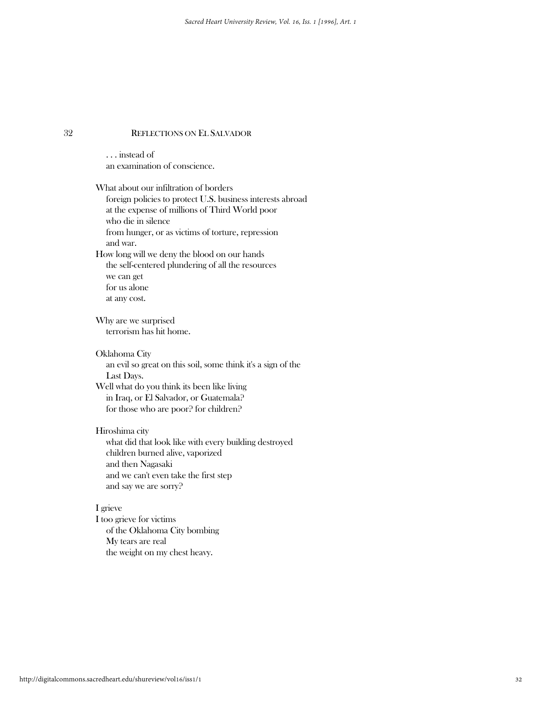. . . instead of an examination of conscience.

 What about our infiltration of borders foreign policies to protect U.S. business interests abroad at the expense of millions of Third World poor who die in silence from hunger, or as victims of torture, repression and war. How long will we deny the blood on our hands the self-centered plundering of all the resources we can get for us alone at any cost. Why are we surprised terrorism has hit home. Oklahoma City an evil so great on this soil, some think it's a sign of the Last Days. Well what do you think its been like living in Iraq, or El Salvador, or Guatemala? for those who are poor? for children? Hiroshima city what did that look like with every building destroyed children burned alive, vaporized and then Nagasaki and we can't even take the first step and say we are sorry? I grieve I too grieve for victims

 of the Oklahoma City bombing My tears are real the weight on my chest heavy.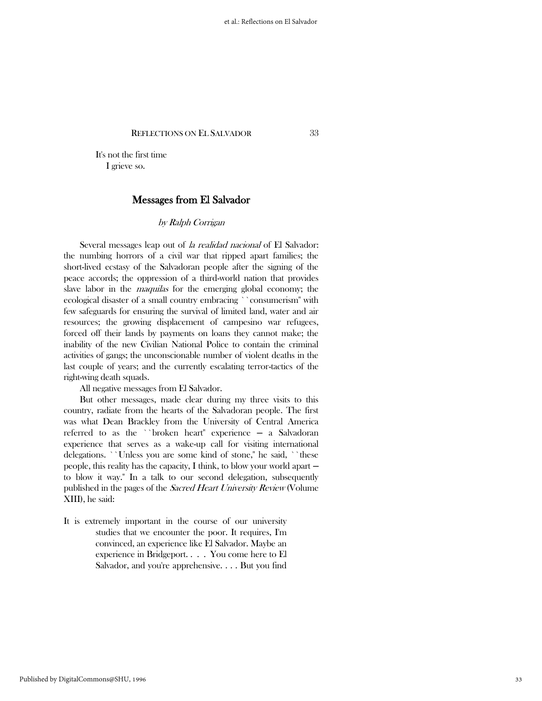It's not the first time I grieve so.

# Messages from El Salvador

### by Ralph Corrigan

Several messages leap out of *la realidad nacional* of El Salvador: the numbing horrors of a civil war that ripped apart families; the short-lived ecstasy of the Salvadoran people after the signing of the peace accords; the oppression of a third-world nation that provides slave labor in the *maquilas* for the emerging global economy; the ecological disaster of a small country embracing ``consumerism'' with few safeguards for ensuring the survival of limited land, water and air resources; the growing displacement of campesino war refugees, forced off their lands by payments on loans they cannot make; the inability of the new Civilian National Police to contain the criminal activities of gangs; the unconscionable number of violent deaths in the last couple of years; and the currently escalating terror-tactics of the right-wing death squads.

All negative messages from El Salvador.

 But other messages, made clear during my three visits to this country, radiate from the hearts of the Salvadoran people. The first was what Dean Brackley from the University of Central America referred to as the ``broken heart'' experience - a Salvadoran experience that serves as a wake-up call for visiting international delegations. ``Unless you are some kind of stone," he said, ``these people, this reality has the capacity, I think, to blow your world apart to blow it way.'' In a talk to our second delegation, subsequently published in the pages of the Sacred Heart University Review (Volume XIII), he said:

It is extremely important in the course of our university studies that we encounter the poor. It requires, I'm convinced, an experience like El Salvador. Maybe an experience in Bridgeport. . . . You come here to El Salvador, and you're apprehensive. . . . But you find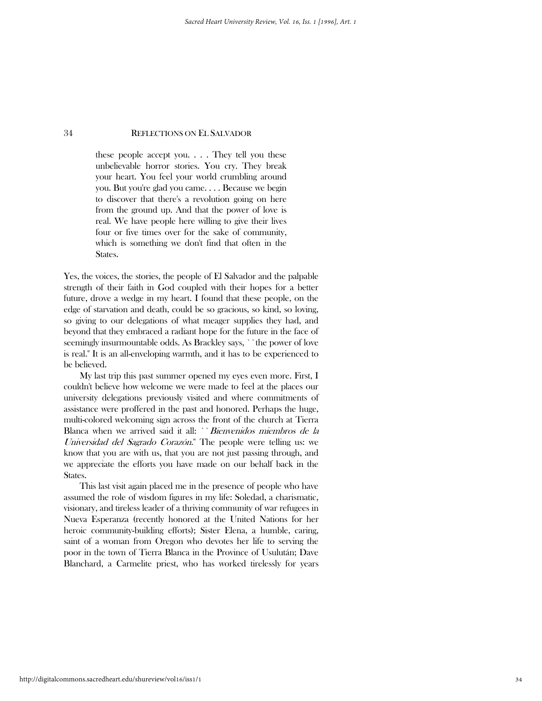these people accept you. . . . They tell you these unbelievable horror stories. You cry. They break your heart. You feel your world crumbling around you. But you're glad you came. . . . Because we begin to discover that there's a revolution going on here from the ground up. And that the power of love is real. We have people here willing to give their lives four or five times over for the sake of community, which is something we don't find that often in the States.

Yes, the voices, the stories, the people of El Salvador and the palpable strength of their faith in God coupled with their hopes for a better future, drove a wedge in my heart. I found that these people, on the edge of starvation and death, could be so gracious, so kind, so loving, so giving to our delegations of what meager supplies they had, and beyond that they embraced a radiant hope for the future in the face of seemingly insurmountable odds. As Brackley says, ``the power of love is real.'' It is an all-enveloping warmth, and it has to be experienced to be believed.

 My last trip this past summer opened my eyes even more. First, I couldn't believe how welcome we were made to feel at the places our university delegations previously visited and where commitments of assistance were proffered in the past and honored. Perhaps the huge, multi-colored welcoming sign across the front of the church at Tierra Blanca when we arrived said it all: "Bienvenidos miembros de la Universidad del Sagrado Corazón.'' The people were telling us: we know that you are with us, that you are not just passing through, and we appreciate the efforts you have made on our behalf back in the States.

 This last visit again placed me in the presence of people who have assumed the role of wisdom figures in my life: Soledad, a charismatic, visionary, and tireless leader of a thriving community of war refugees in Nueva Esperanza (recently honored at the United Nations for her heroic community-building efforts); Sister Elena, a humble, caring, saint of a woman from Oregon who devotes her life to serving the poor in the town of Tierra Blanca in the Province of Usulután; Dave Blanchard, a Carmelite priest, who has worked tirelessly for years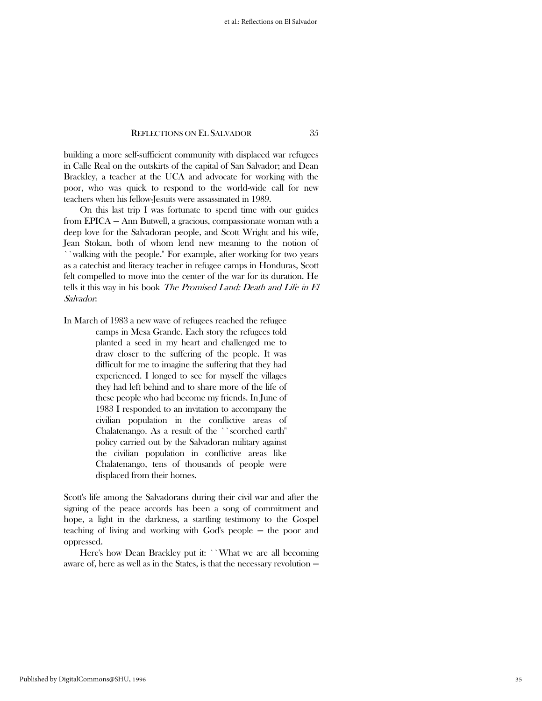building a more self-sufficient community with displaced war refugees in Calle Real on the outskirts of the capital of San Salvador; and Dean Brackley, a teacher at the UCA and advocate for working with the poor, who was quick to respond to the world-wide call for new teachers when his fellow-Jesuits were assassinated in 1989.

 On this last trip I was fortunate to spend time with our guides from EPICA - Ann Butwell, a gracious, compassionate woman with a deep love for the Salvadoran people, and Scott Wright and his wife, Jean Stokan, both of whom lend new meaning to the notion of ``walking with the people.'' For example, after working for two years as a catechist and literacy teacher in refugee camps in Honduras, Scott felt compelled to move into the center of the war for its duration. He tells it this way in his book The Promised Land: Death and Life in El Salvador:

In March of 1983 a new wave of refugees reached the refugee camps in Mesa Grande. Each story the refugees told planted a seed in my heart and challenged me to draw closer to the suffering of the people. It was difficult for me to imagine the suffering that they had experienced. I longed to see for myself the villages they had left behind and to share more of the life of these people who had become my friends. In June of 1983 I responded to an invitation to accompany the civilian population in the conflictive areas of Chalatenango. As a result of the ``scorched earth'' policy carried out by the Salvadoran military against the civilian population in conflictive areas like Chalatenango, tens of thousands of people were displaced from their homes.

Scott's life among the Salvadorans during their civil war and after the signing of the peace accords has been a song of commitment and hope, a light in the darkness, a startling testimony to the Gospel teaching of living and working with God's people — the poor and oppressed.

Here's how Dean Brackley put it: ``What we are all becoming aware of, here as well as in the States, is that the necessary revolution  $-$